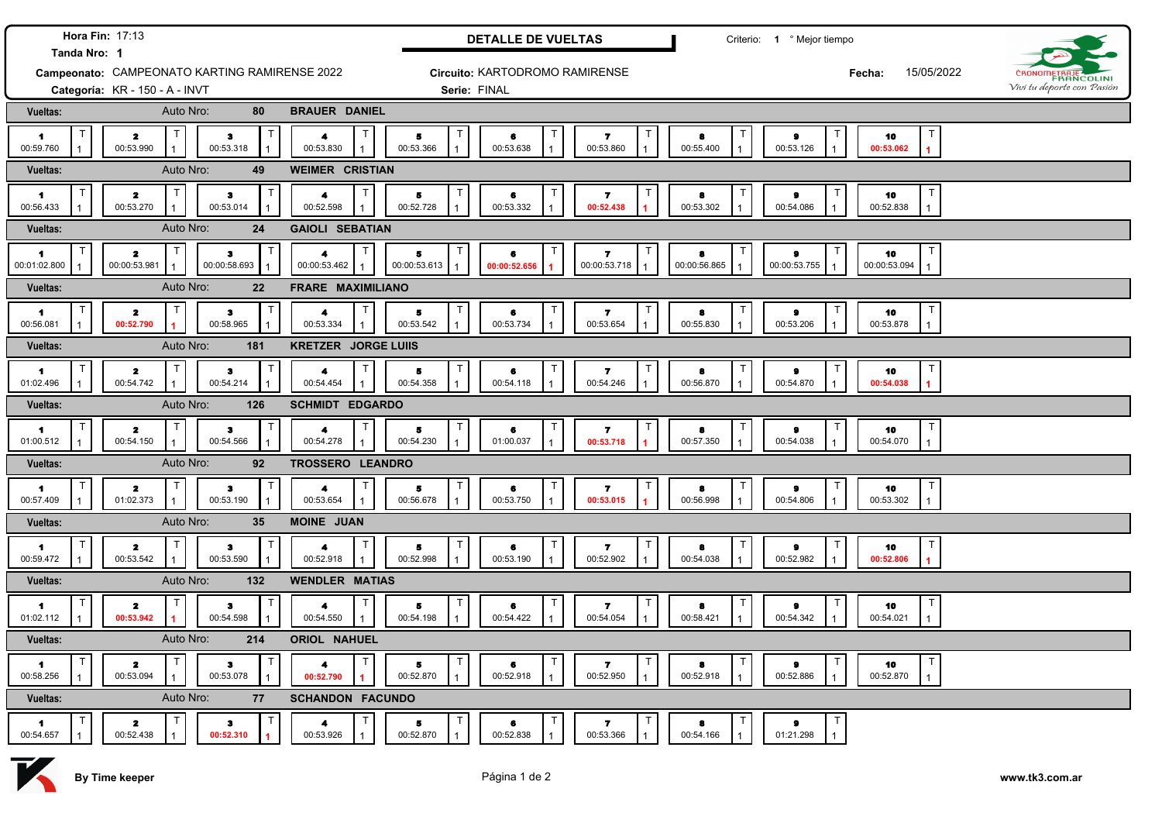|                                                               | <b>Hora Fin: 17:13</b>               |              |                                            |                                        |                                      | <b>DETALLE DE VUELTAS</b>             |                                             |                             | Criterio: 1 º Mejor tiempo   |                                                   |                            |
|---------------------------------------------------------------|--------------------------------------|--------------|--------------------------------------------|----------------------------------------|--------------------------------------|---------------------------------------|---------------------------------------------|-----------------------------|------------------------------|---------------------------------------------------|----------------------------|
| Tanda Nro: 1<br>Campeonato: CAMPEONATO KARTING RAMIRENSE 2022 |                                      |              |                                            |                                        | Circuito: KARTODROMO RAMIRENSE       |                                       |                                             |                             | 15/05/2022<br>Fecha:         | ČBONOMF<br><b>ERANCOLINI</b>                      |                            |
|                                                               | Categoría: KR - 150 - A - INVT       |              |                                            |                                        | Serie: FINAL                         |                                       |                                             |                             |                              |                                                   | Vivi tu deporte con Pasión |
| <b>Vueltas:</b>                                               |                                      | Auto Nro:    | 80                                         | <b>BRAUER DANIEL</b>                   |                                      |                                       |                                             |                             |                              |                                                   |                            |
| $\blacksquare$<br>00:59.760                                   | $\mathbf{z}$<br>00:53.990            |              | $\bullet$<br>00:53.318                     | $\blacktriangleleft$<br>00:53.830      | 5<br>00:53.366                       | $\top$<br>6<br>00:53.638              | Т<br>$\overline{\mathbf{r}}$<br>00:53.860   | 8<br>00:55.400              | $\bullet$<br>00:53.126       | $\mathsf{T}$<br>10<br>00:53.062<br>$\overline{1}$ |                            |
| <b>Vueltas:</b>                                               |                                      | Auto Nro:    | 49                                         | <b>WEIMER CRISTIAN</b>                 |                                      |                                       |                                             |                             |                              |                                                   |                            |
| $\blacksquare$<br>00:56.433                                   | $\mathbf{z}$<br>00:53.270            | T            | з<br>00:53.014                             | $\blacktriangleleft$<br>00:52.598      | 5<br>00:52.728                       | $\top$<br>6<br>00:53.332              | $\mathbf{z}$<br>00:52.438                   | 8<br>00:53.302              | $\bullet$<br>00:54.086       | 10<br>00:52.838<br>$\mathbf{1}$                   |                            |
| <b>Vueltas:</b>                                               |                                      | Auto Nro:    | 24                                         | <b>GAIOLI SEBATIAN</b>                 |                                      |                                       |                                             |                             |                              |                                                   |                            |
| $\blacksquare$<br>00:01:02.800                                | $\mathbf{z}$<br>00:00:53.981         | T            | $\mathsf{T}$<br>$\bf{3}$<br>00:00:58.693   | $\blacktriangleleft$<br>00:00:53.462   | Б<br>00:00:53.613                    | $\top$<br>6<br>00:00:52.656           | $\mathbf{7}$<br>00:00:53.718                | 8<br>00:00:56.865           | $\bullet$<br>00:00:53.755    | 10<br>00:00:53.094<br>$\mathbf{1}$                |                            |
| <b>Vueltas:</b>                                               |                                      | Auto Nro:    | 22                                         | FRARE MAXIMILIANO                      |                                      |                                       |                                             |                             |                              |                                                   |                            |
| 1.<br>00:56.081                                               | 2<br>00:52.790                       | т            | T<br>$\bf{3}$<br>00:58.965<br>1            | Т<br>$\blacktriangleleft$<br>00:53.334 | 5<br>00:53.542                       | $\mathsf T$<br>6<br>00:53.734         | $\mathbf{z}$<br>00:53.654                   | ा<br>8<br>00:55.830         | т<br>$\bullet$<br>00:53.206  | T<br>10<br>00:53.878<br>$\mathbf{1}$              |                            |
| Vueltas:                                                      |                                      | Auto Nro:    | 181                                        | <b>KRETZER JORGE LUIIS</b>             |                                      |                                       |                                             |                             |                              |                                                   |                            |
| 1.<br>01:02.496                                               | $\mathbf{z}$<br>00:54.742            | $\mathsf{T}$ | T<br>$\bf{3}$<br>00:54.214<br>$\mathbf{1}$ | 4<br>00:54.454<br>$\mathbf{1}$         | Б<br>00:54.358                       | $\mathsf T$<br>6<br>00:54.118         | $\overline{\mathbf{r}}$<br>00:54.246        | ा<br>8<br>00:56.870         | $\pmb{9}$<br>00:54.870       | 10<br>00:54.038<br>1                              |                            |
| <b>Vueltas:</b>                                               |                                      | Auto Nro:    | 126                                        | <b>SCHMIDT EDGARDO</b>                 |                                      |                                       |                                             |                             |                              |                                                   |                            |
| $\blacksquare$<br>01:00.512                                   | $\mathbf{z}$<br>00:54.150            | T            | $\bullet$<br>00:54.566                     | Т<br>$\blacktriangle$<br>00:54.278     | 5<br>00:54.230                       | $\mathsf{T}$<br>6<br>01:00.037        | Т<br>$\mathbf{7}$<br>00:53.718              | ा<br>8<br>00:57.350         | т<br>$\bullet$<br>00:54.038  | $\top$<br>10<br>00:54.070<br>$\mathbf{1}$         |                            |
| Vueltas:                                                      |                                      | Auto Nro:    | 92                                         | TROSSERO LEANDRO                       |                                      |                                       |                                             |                             |                              |                                                   |                            |
| 1<br>00:57.409                                                | $\mathbf{z}$<br>01:02.373            | $\mathsf T$  | 3<br>00:53.190                             | $\blacktriangleleft$<br>00:53.654      | 5<br>00:56.678                       | $\mathsf T$<br>$\bullet$<br>00:53.750 | Τ<br>$\overline{ }$<br>00:53.015            | ा<br>$\bullet$<br>00:56.998 | т<br>$\bullet$<br>00:54.806  | T<br>10<br>00:53.302                              |                            |
| Vueltas:                                                      |                                      | Auto Nro:    | 35                                         | <b>MOINE JUAN</b>                      |                                      |                                       |                                             |                             |                              |                                                   |                            |
| $\blacksquare$<br>00:59.472                                   | $\mathbf{z}$<br>00:53.542            |              | $\mathbf{3}$<br>00:53.590                  | 4<br>00:52.918                         | $\overline{\mathbf{5}}$<br>00:52.998 | $\top$<br>6<br>00:53.190              | $\mathsf{T}$<br>$\overline{ }$<br>00:52.902 | ा<br>8<br>00:54.038         | т<br>$\bullet$<br>00:52.982  | T<br>10<br>00:52.806                              |                            |
| Vueltas:                                                      |                                      | Auto Nro:    | 132                                        | <b>WENDLER MATIAS</b>                  |                                      |                                       |                                             |                             |                              |                                                   |                            |
| $\mathbf{1}$<br>01:02.112                                     | $\mathbf{z}$<br>00:53.942            |              | $\mathbf{3}$<br>00:54.598                  | $\blacktriangleleft$<br>00:54.550      | 5<br>00:54.198                       | T<br>6<br>00:54.422                   | $\mathbf{z}$<br>00:54.054                   | ा<br>8<br>00:58.421         | T<br>$\bullet$<br>00:54.342  | $\mathsf{T}$<br>10<br>00:54.021<br>$\mathbf{1}$   |                            |
| Vueltas:                                                      |                                      | Auto Nro:    | 214                                        | ORIOL NAHUEL                           |                                      |                                       |                                             |                             |                              |                                                   |                            |
| 1<br>00:58.256                                                | $\overline{\mathbf{z}}$<br>00:53.094 |              | $\bullet$<br>00:53.078                     | 4<br>00:52.790                         | 5<br>00:52.870                       | $\mathsf T$<br>6<br>00:52.918         | т<br>$\mathbf{z}$<br>00:52.950              | ा<br>8<br>00:52.918         | T.<br>$\bullet$<br>00:52.886 | $\top$<br>10<br>00:52.870<br>$\mathbf{1}$         |                            |
| <b>Vueltas:</b>                                               |                                      | Auto Nro:    | 77                                         | <b>SCHANDON FACUNDO</b>                |                                      |                                       |                                             |                             |                              |                                                   |                            |
| $\blacksquare$<br>00:54.657                                   | 2<br>00:52.438                       |              | з<br>00:52.310                             | 4<br>00:53.926                         | 5<br>00:52.870                       | T<br>6<br>00:52.838                   | 7<br>00:53.366                              | 8<br>00:54.166              | т<br>01:21.298               |                                                   |                            |